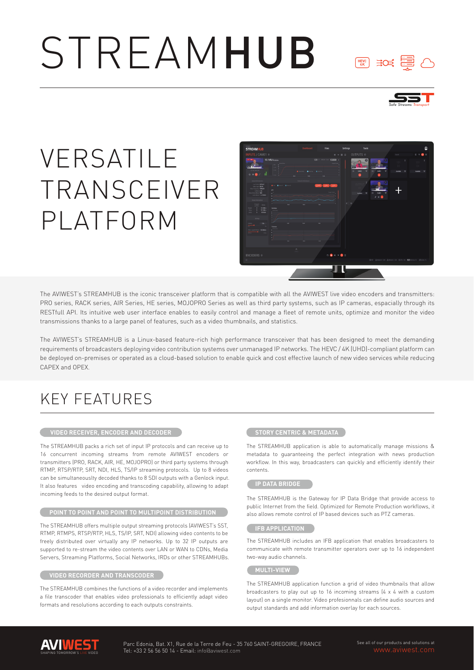# STREAMHUB



 $\begin{array}{cc} \begin{matrix} \text{HEVC} \end{matrix} & \begin{matrix} \end{matrix} & \end{array}$ 

# VERSATILE TRANSCEIVER PLATFORM



The AVIWEST's STREAMHUB is the iconic transceiver platform that is compatible with all the AVIWEST live video encoders and transmitters: PRO series, RACK series, AIR Series, HE series, MOJOPRO Series as well as third party systems, such as IP cameras, espacially through its RESTfull API. Its intuitive web user interface enables to easily control and manage a fleet of remote units, optimize and monitor the video transmissions thanks to a large panel of features, such as a video thumbnails, and statistics.

The AVIWEST's STREAMHUB is a Linux-based feature-rich high performance transceiver that has been designed to meet the demanding requirements of broadcasters deploying video contribution systems over unmanaged IP networks. The HEVC / 4K (UHD)-compliant platform can be deployed on-premises or operated as a cloud-based solution to enable quick and cost effective launch of new video services while reducing CAPEX and OPEX.

## KEY FEATURES

#### **VIDEO RECEIVER, ENCODER AND DECODER**

The STREAMHUB packs a rich set of input IP protocols and can receive up to 16 concurrent incoming streams from remote AVIWEST encoders or transmitters (PRO, RACK, AIR, HE, MOJOPRO) or third party systems through RTMP, RTSP/RTP, SRT, NDI, HLS, TS/IP streaming protocols. Up to 8 videos can be simultaneouslty decoded thanks to 8 SDI outputs with a Genlock input. It also features video encoding and transcoding capability, allowing to adapt incoming feeds to the desired output format.

#### **POINT TO POINT AND POINT TO MULTIPOINT DISTRIBUTION**

The STREAMHUB offers multiple output streaming protocols (AVIWEST's SST, RTMP, RTMPS, RTSP/RTP, HLS, TS/IP, SRT, NDI) allowing video contents to be freely distributed over virtually any IP networks. Up to 32 IP outputs are supported to re-stream the video contents over LAN or WAN to CDNs, Media Servers, Streaming Platforms, Social Networks, IRDs or other STREAMHUBs.

#### **VIDEO RECORDER AND TRANSCODER**

The STREAMHUB combines the functions of a video recorder and implements a file transcoder that enables video professionals to efficiently adapt video formats and resolutions according to each outputs constraints.

#### **STORY CENTRIC & METADATA**

The STREAMHUB application is able to automatically manage missions & metadata to guaranteeing the perfect integration with news production workflow. In this way, broadcasters can quickly and efficiently identify their contents.

#### **IP DATA BRIDGE**

The STREAMHUB is the Gateway for IP Data Bridge that provide access to public Internet from the field. Optimized for Remote Production workflows, it also allows remote control of IP based devices such as PTZ cameras.

#### **IFB APPLICATION**

The STREAMHUB includes an IFB application that enables broadcasters to communicate with remote transmitter operators over up to 16 independent two-way audio channels.

#### **MULTI-VIEW**

The STREAMHUB application function a grid of video thumbnails that allow broadcasters to play out up to 16 incoming streams (4 x 4 with a custom layout) on a single monitor. Video profesionnals can define audio sources and output standards and add information overlay for each sources.